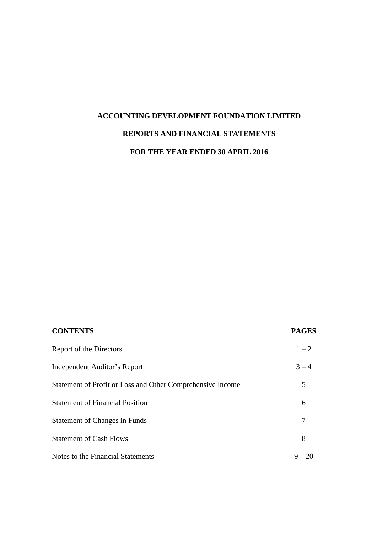# **ACCOUNTING DEVELOPMENT FOUNDATION LIMITED REPORTS AND FINANCIAL STATEMENTS**

#### **FOR THE YEAR ENDED 30 APRIL 2016**

| <b>CONTENTS</b>                                            | <b>PAGES</b> |
|------------------------------------------------------------|--------------|
| Report of the Directors                                    | $1 - 2$      |
| Independent Auditor's Report                               | $3 - 4$      |
| Statement of Profit or Loss and Other Comprehensive Income | 5            |
| <b>Statement of Financial Position</b>                     | 6            |
| <b>Statement of Changes in Funds</b>                       | 7            |
| <b>Statement of Cash Flows</b>                             | 8            |
| Notes to the Financial Statements                          | $9 - 20$     |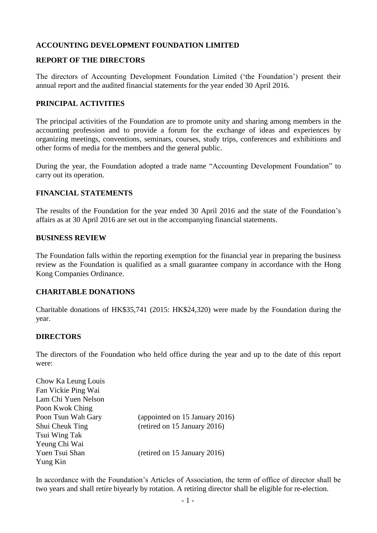# **ACCOUNTING DEVELOPMENT FOUNDATION LIMITED**

#### **REPORT OF THE DIRECTORS**

The directors of Accounting Development Foundation Limited ('the Foundation') present their annual report and the audited financial statements for the year ended 30 April 2016.

#### **PRINCIPAL ACTIVITIES**

The principal activities of the Foundation are to promote unity and sharing among members in the accounting profession and to provide a forum for the exchange of ideas and experiences by organizing meetings, conventions, seminars, courses, study trips, conferences and exhibitions and other forms of media for the members and the general public.

During the year, the Foundation adopted a trade name "Accounting Development Foundation" to carry out its operation.

#### **FINANCIAL STATEMENTS**

The results of the Foundation for the year ended 30 April 2016 and the state of the Foundation's affairs as at 30 April 2016 are set out in the accompanying financial statements.

#### **BUSINESS REVIEW**

The Foundation falls within the reporting exemption for the financial year in preparing the business review as the Foundation is qualified as a small guarantee company in accordance with the Hong Kong Companies Ordinance.

#### **CHARITABLE DONATIONS**

Charitable donations of HK\$35,741 (2015: HK\$24,320) were made by the Foundation during the year.

#### **DIRECTORS**

The directors of the Foundation who held office during the year and up to the date of this report were:

| Chow Ka Leung Louis<br>Fan Vickie Ping Wai           |  |
|------------------------------------------------------|--|
| Lam Chi Yuen Nelson                                  |  |
| Poon Kwok Ching                                      |  |
| Poon Tsun Wah Gary<br>(appointed on 15 January 2016) |  |
| (retired on 15 January 2016)<br>Shui Cheuk Ting      |  |
| Tsui Wing Tak                                        |  |
| Yeung Chi Wai                                        |  |
| Yuen Tsui Shan<br>(retired on 15 January 2016)       |  |
| Yung Kin                                             |  |

In accordance with the Foundation's Articles of Association, the term of office of director shall be two years and shall retire biyearly by rotation. A retiring director shall be eligible for re-election.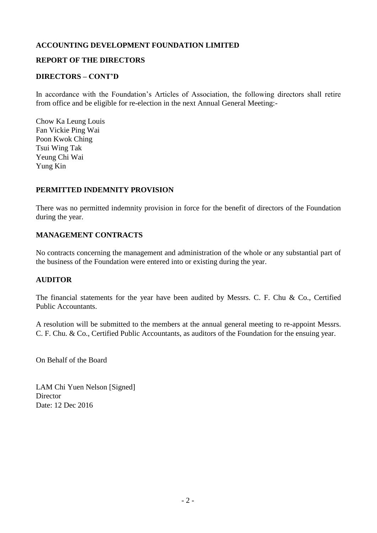# **ACCOUNTING DEVELOPMENT FOUNDATION LIMITED**

# **REPORT OF THE DIRECTORS**

#### **DIRECTORS – CONT'D**

In accordance with the Foundation's Articles of Association, the following directors shall retire from office and be eligible for re-election in the next Annual General Meeting:-

Chow Ka Leung Louis Fan Vickie Ping Wai Poon Kwok Ching Tsui Wing Tak Yeung Chi Wai Yung Kin

#### **PERMITTED INDEMNITY PROVISION**

There was no permitted indemnity provision in force for the benefit of directors of the Foundation during the year.

# **MANAGEMENT CONTRACTS**

No contracts concerning the management and administration of the whole or any substantial part of the business of the Foundation were entered into or existing during the year.

#### **AUDITOR**

The financial statements for the year have been audited by Messrs. C. F. Chu & Co., Certified Public Accountants.

A resolution will be submitted to the members at the annual general meeting to re-appoint Messrs. C. F. Chu. & Co., Certified Public Accountants, as auditors of the Foundation for the ensuing year.

On Behalf of the Board

LAM Chi Yuen Nelson [Signed] **Director** Date: 12 Dec 2016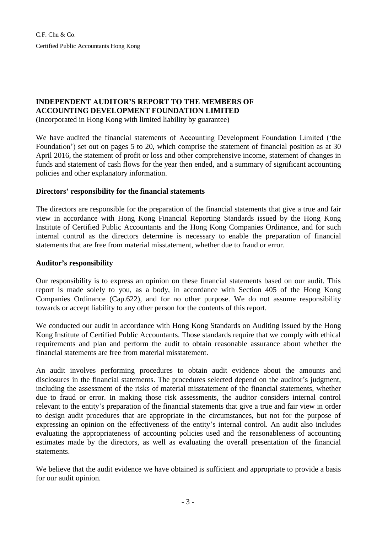C.F. Chu & Co. Certified Public Accountants Hong Kong

# **INDEPENDENT AUDITOR'S REPORT TO THE MEMBERS OF ACCOUNTING DEVELOPMENT FOUNDATION LIMITED**

(Incorporated in Hong Kong with limited liability by guarantee)

We have audited the financial statements of Accounting Development Foundation Limited ('the Foundation') set out on pages 5 to 20, which comprise the statement of financial position as at 30 April 2016, the statement of profit or loss and other comprehensive income, statement of changes in funds and statement of cash flows for the year then ended, and a summary of significant accounting policies and other explanatory information.

#### **Directors' responsibility for the financial statements**

The directors are responsible for the preparation of the financial statements that give a true and fair view in accordance with Hong Kong Financial Reporting Standards issued by the Hong Kong Institute of Certified Public Accountants and the Hong Kong Companies Ordinance, and for such internal control as the directors determine is necessary to enable the preparation of financial statements that are free from material misstatement, whether due to fraud or error.

#### **Auditor's responsibility**

Our responsibility is to express an opinion on these financial statements based on our audit. This report is made solely to you, as a body, in accordance with Section 405 of the Hong Kong Companies Ordinance (Cap.622), and for no other purpose. We do not assume responsibility towards or accept liability to any other person for the contents of this report.

We conducted our audit in accordance with Hong Kong Standards on Auditing issued by the Hong Kong Institute of Certified Public Accountants. Those standards require that we comply with ethical requirements and plan and perform the audit to obtain reasonable assurance about whether the financial statements are free from material misstatement.

An audit involves performing procedures to obtain audit evidence about the amounts and disclosures in the financial statements. The procedures selected depend on the auditor's judgment, including the assessment of the risks of material misstatement of the financial statements, whether due to fraud or error. In making those risk assessments, the auditor considers internal control relevant to the entity's preparation of the financial statements that give a true and fair view in order to design audit procedures that are appropriate in the circumstances, but not for the purpose of expressing an opinion on the effectiveness of the entity's internal control. An audit also includes evaluating the appropriateness of accounting policies used and the reasonableness of accounting estimates made by the directors, as well as evaluating the overall presentation of the financial statements.

We believe that the audit evidence we have obtained is sufficient and appropriate to provide a basis for our audit opinion.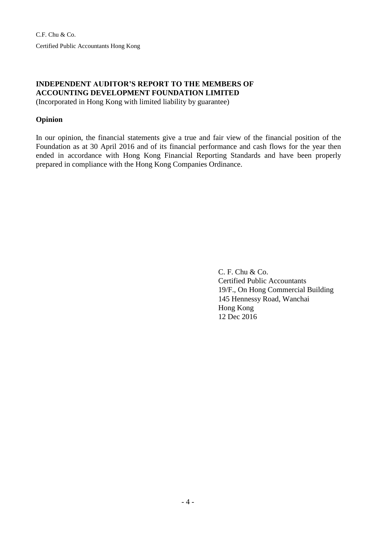C.F. Chu & Co. Certified Public Accountants Hong Kong

# **INDEPENDENT AUDITOR'S REPORT TO THE MEMBERS OF ACCOUNTING DEVELOPMENT FOUNDATION LIMITED**

(Incorporated in Hong Kong with limited liability by guarantee)

# **Opinion**

In our opinion, the financial statements give a true and fair view of the financial position of the Foundation as at 30 April 2016 and of its financial performance and cash flows for the year then ended in accordance with Hong Kong Financial Reporting Standards and have been properly prepared in compliance with the Hong Kong Companies Ordinance.

> C. F. Chu & Co. Certified Public Accountants 19/F., On Hong Commercial Building 145 Hennessy Road, Wanchai Hong Kong 12 Dec 2016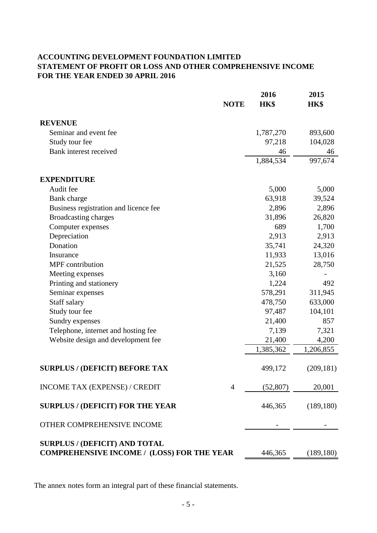# **ACCOUNTING DEVELOPMENT FOUNDATION LIMITED STATEMENT OF PROFIT OR LOSS AND OTHER COMPREHENSIVE INCOME FOR THE YEAR ENDED 30 APRIL 2016**

|                                                   | <b>NOTE</b> | 2016<br>HK\$ | 2015<br>HK\$ |
|---------------------------------------------------|-------------|--------------|--------------|
| <b>REVENUE</b>                                    |             |              |              |
| Seminar and event fee                             |             | 1,787,270    | 893,600      |
| Study tour fee                                    |             | 97,218       | 104,028      |
| Bank interest received                            |             | 46           | 46           |
|                                                   |             | 1,884,534    | 997,674      |
| <b>EXPENDITURE</b>                                |             |              |              |
| Audit fee                                         |             | 5,000        | 5,000        |
| Bank charge                                       |             | 63,918       | 39,524       |
| Business registration and licence fee             |             | 2,896        | 2,896        |
| <b>Broadcasting charges</b>                       |             | 31,896       | 26,820       |
| Computer expenses                                 |             | 689          | 1,700        |
| Depreciation                                      |             | 2,913        | 2,913        |
| Donation                                          |             | 35,741       | 24,320       |
| Insurance                                         |             | 11,933       | 13,016       |
| MPF contribution                                  |             | 21,525       | 28,750       |
| Meeting expenses                                  |             | 3,160        |              |
| Printing and stationery                           |             | 1,224        | 492          |
| Seminar expenses                                  |             | 578,291      | 311,945      |
| Staff salary                                      |             | 478,750      | 633,000      |
| Study tour fee                                    |             | 97,487       | 104,101      |
| Sundry expenses                                   |             | 21,400       | 857          |
| Telephone, internet and hosting fee               |             | 7,139        | 7,321        |
| Website design and development fee                |             | 21,400       | 4,200        |
|                                                   |             | 1,385,362    | 1,206,855    |
| <b>SURPLUS / (DEFICIT) BEFORE TAX</b>             |             | 499,172      | (209, 181)   |
| INCOME TAX (EXPENSE) / CREDIT                     | 4           | (52, 807)    | 20,001       |
| <b>SURPLUS / (DEFICIT) FOR THE YEAR</b>           |             | 446,365      | (189, 180)   |
| OTHER COMPREHENSIVE INCOME                        |             |              |              |
| <b>SURPLUS / (DEFICIT) AND TOTAL</b>              |             |              |              |
| <b>COMPREHENSIVE INCOME / (LOSS) FOR THE YEAR</b> |             | 446,365      | (189, 180)   |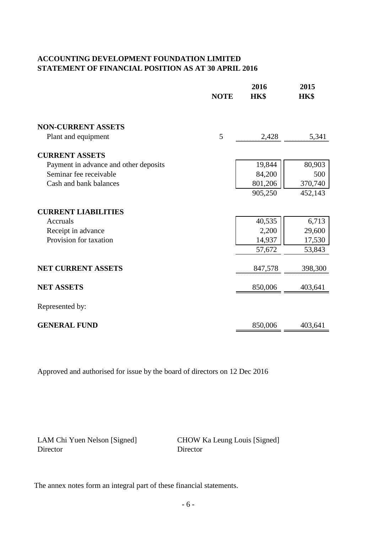# **ACCOUNTING DEVELOPMENT FOUNDATION LIMITED STATEMENT OF FINANCIAL POSITION AS AT 30 APRIL 2016**

|                                       | <b>NOTE</b> | 2016<br>HK\$ | 2015<br>HK\$ |
|---------------------------------------|-------------|--------------|--------------|
| <b>NON-CURRENT ASSETS</b>             |             |              |              |
| Plant and equipment                   | 5           | 2,428        | 5,341        |
| <b>CURRENT ASSETS</b>                 |             |              |              |
| Payment in advance and other deposits |             | 19,844       | 80,903       |
| Seminar fee receivable                |             | 84,200       | 500          |
| Cash and bank balances                |             | 801,206      | 370,740      |
|                                       |             | 905,250      | 452,143      |
| <b>CURRENT LIABILITIES</b>            |             |              |              |
| Accruals                              |             | 40,535       | 6,713        |
| Receipt in advance                    |             | 2,200        | 29,600       |
| Provision for taxation                |             | 14,937       | 17,530       |
|                                       |             | 57,672       | 53,843       |
| <b>NET CURRENT ASSETS</b>             |             | 847,578      | 398,300      |
| <b>NET ASSETS</b>                     |             | 850,006      | 403,641      |
| Represented by:                       |             |              |              |
| <b>GENERAL FUND</b>                   |             | 850,006      | 403,641      |

Approved and authorised for issue by the board of directors on 12 Dec 2016

LAM Chi Yuen Nelson [Signed] CHOW Ka Leung Louis [Signed] Director Director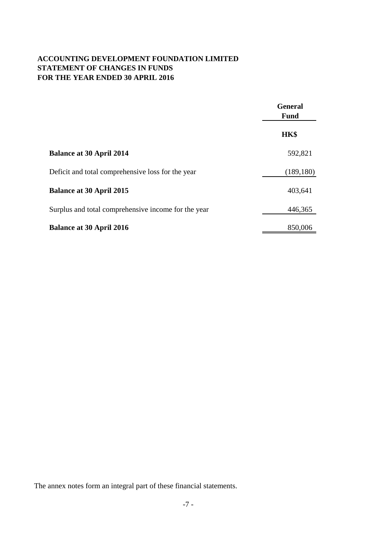# **ACCOUNTING DEVELOPMENT FOUNDATION LIMITED STATEMENT OF CHANGES IN FUNDS FOR THE YEAR ENDED 30 APRIL 2016**

|                                                     | <b>General</b><br><b>Fund</b> |  |
|-----------------------------------------------------|-------------------------------|--|
|                                                     | HK\$                          |  |
| <b>Balance at 30 April 2014</b>                     | 592,821                       |  |
| Deficit and total comprehensive loss for the year   | (189, 180)                    |  |
| <b>Balance at 30 April 2015</b>                     | 403,641                       |  |
| Surplus and total comprehensive income for the year | 446,365                       |  |
| <b>Balance at 30 April 2016</b>                     | 850,006                       |  |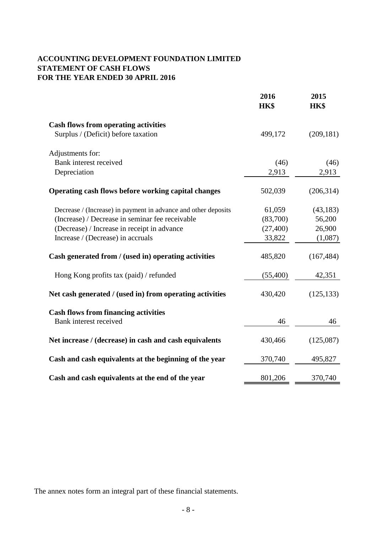# **ACCOUNTING DEVELOPMENT FOUNDATION LIMITED STATEMENT OF CASH FLOWS FOR THE YEAR ENDED 30 APRIL 2016**

|                                                                       | 2016<br>HK\$ | 2015<br>HK\$ |
|-----------------------------------------------------------------------|--------------|--------------|
| <b>Cash flows from operating activities</b>                           |              |              |
| Surplus / (Deficit) before taxation                                   | 499,172      | (209, 181)   |
| Adjustments for:                                                      |              |              |
| Bank interest received                                                | (46)         | (46)         |
| Depreciation                                                          | 2,913        | 2,913        |
| Operating cash flows before working capital changes                   | 502,039      | (206, 314)   |
| Decrease / (Increase) in payment in advance and other deposits        | 61,059       | (43, 183)    |
| (Increase) / Decrease in seminar fee receivable                       | (83,700)     | 56,200       |
| (Decrease) / Increase in receipt in advance                           | (27, 400)    | 26,900       |
| Increase / (Decrease) in accruals                                     | 33,822       | (1,087)      |
| Cash generated from / (used in) operating activities                  | 485,820      | (167, 484)   |
| Hong Kong profits tax (paid) / refunded                               | (55,400)     | 42,351       |
| Net cash generated / (used in) from operating activities              | 430,420      | (125, 133)   |
| <b>Cash flows from financing activities</b><br>Bank interest received | 46           | 46           |
| Net increase / (decrease) in cash and cash equivalents                | 430,466      | (125,087)    |
| Cash and cash equivalents at the beginning of the year                | 370,740      | 495,827      |
| Cash and cash equivalents at the end of the year                      | 801,206      | 370,740      |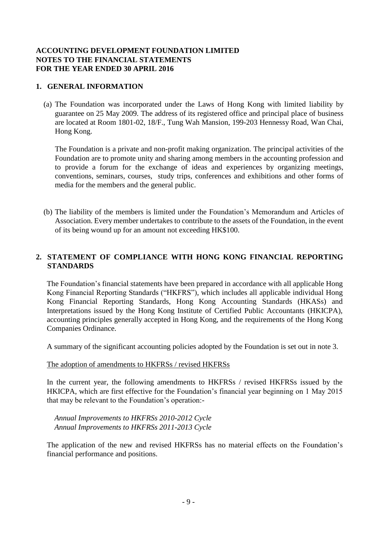# **1. GENERAL INFORMATION**

(a) The Foundation was incorporated under the Laws of Hong Kong with limited liability by guarantee on 25 May 2009. The address of its registered office and principal place of business are located at Room 1801-02, 18/F., Tung Wah Mansion, 199-203 Hennessy Road, Wan Chai, Hong Kong.

The Foundation is a private and non-profit making organization. The principal activities of the Foundation are to promote unity and sharing among members in the accounting profession and to provide a forum for the exchange of ideas and experiences by organizing meetings, conventions, seminars, courses, study trips, conferences and exhibitions and other forms of media for the members and the general public.

(b) The liability of the members is limited under the Foundation's Memorandum and Articles of Association. Every member undertakes to contribute to the assets of the Foundation, in the event of its being wound up for an amount not exceeding HK\$100.

# **2. STATEMENT OF COMPLIANCE WITH HONG KONG FINANCIAL REPORTING STANDARDS**

The Foundation's financial statements have been prepared in accordance with all applicable Hong Kong Financial Reporting Standards ("HKFRS"), which includes all applicable individual Hong Kong Financial Reporting Standards, Hong Kong Accounting Standards (HKASs) and Interpretations issued by the Hong Kong Institute of Certified Public Accountants (HKICPA), accounting principles generally accepted in Hong Kong, and the requirements of the Hong Kong Companies Ordinance.

A summary of the significant accounting policies adopted by the Foundation is set out in note 3.

#### The adoption of amendments to HKFRSs / revised HKFRSs

In the current year, the following amendments to HKFRSs / revised HKFRSs issued by the HKICPA, which are first effective for the Foundation's financial year beginning on 1 May 2015 that may be relevant to the Foundation's operation:-

*Annual Improvements to HKFRSs 2010-2012 Cycle Annual Improvements to HKFRSs 2011-2013 Cycle*

The application of the new and revised HKFRSs has no material effects on the Foundation's financial performance and positions.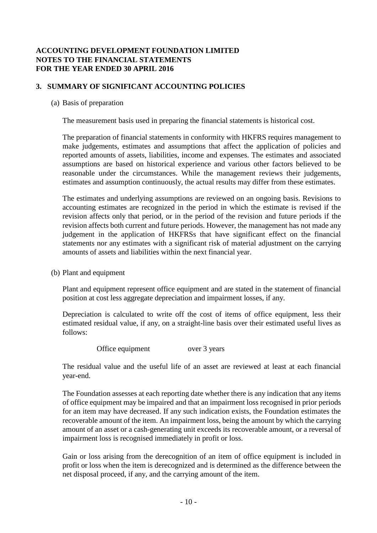# **3. SUMMARY OF SIGNIFICANT ACCOUNTING POLICIES**

#### (a) Basis of preparation

The measurement basis used in preparing the financial statements is historical cost.

The preparation of financial statements in conformity with HKFRS requires management to make judgements, estimates and assumptions that affect the application of policies and reported amounts of assets, liabilities, income and expenses. The estimates and associated assumptions are based on historical experience and various other factors believed to be reasonable under the circumstances. While the management reviews their judgements, estimates and assumption continuously, the actual results may differ from these estimates.

The estimates and underlying assumptions are reviewed on an ongoing basis. Revisions to accounting estimates are recognized in the period in which the estimate is revised if the revision affects only that period, or in the period of the revision and future periods if the revision affects both current and future periods. However, the management has not made any judgement in the application of HKFRSs that have significant effect on the financial statements nor any estimates with a significant risk of material adjustment on the carrying amounts of assets and liabilities within the next financial year.

(b) Plant and equipment

Plant and equipment represent office equipment and are stated in the statement of financial position at cost less aggregate depreciation and impairment losses, if any.

Depreciation is calculated to write off the cost of items of office equipment, less their estimated residual value, if any, on a straight-line basis over their estimated useful lives as follows:

Office equipment over 3 years

The residual value and the useful life of an asset are reviewed at least at each financial year-end.

The Foundation assesses at each reporting date whether there is any indication that any items of office equipment may be impaired and that an impairment loss recognised in prior periods for an item may have decreased. If any such indication exists, the Foundation estimates the recoverable amount of the item. An impairment loss, being the amount by which the carrying amount of an asset or a cash-generating unit exceeds its recoverable amount, or a reversal of impairment loss is recognised immediately in profit or loss.

Gain or loss arising from the derecognition of an item of office equipment is included in profit or loss when the item is derecognized and is determined as the difference between the net disposal proceed, if any, and the carrying amount of the item.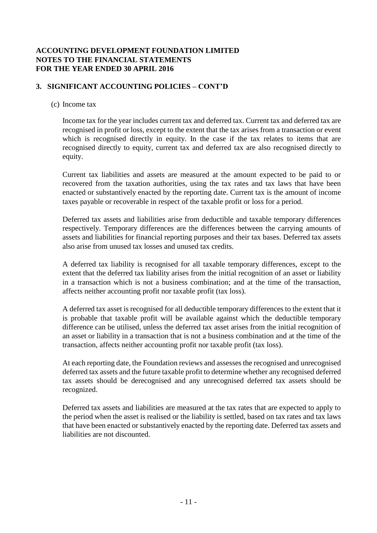# **3. SIGNIFICANT ACCOUNTING POLICIES – CONT'D**

#### (c) Income tax

Income tax for the year includes current tax and deferred tax. Current tax and deferred tax are recognised in profit or loss, except to the extent that the tax arises from a transaction or event which is recognised directly in equity. In the case if the tax relates to items that are recognised directly to equity, current tax and deferred tax are also recognised directly to equity.

Current tax liabilities and assets are measured at the amount expected to be paid to or recovered from the taxation authorities, using the tax rates and tax laws that have been enacted or substantively enacted by the reporting date. Current tax is the amount of income taxes payable or recoverable in respect of the taxable profit or loss for a period.

Deferred tax assets and liabilities arise from deductible and taxable temporary differences respectively. Temporary differences are the differences between the carrying amounts of assets and liabilities for financial reporting purposes and their tax bases. Deferred tax assets also arise from unused tax losses and unused tax credits.

A deferred tax liability is recognised for all taxable temporary differences, except to the extent that the deferred tax liability arises from the initial recognition of an asset or liability in a transaction which is not a business combination; and at the time of the transaction, affects neither accounting profit nor taxable profit (tax loss).

A deferred tax asset is recognised for all deductible temporary differences to the extent that it is probable that taxable profit will be available against which the deductible temporary difference can be utilised, unless the deferred tax asset arises from the initial recognition of an asset or liability in a transaction that is not a business combination and at the time of the transaction, affects neither accounting profit nor taxable profit (tax loss).

At each reporting date, the Foundation reviews and assesses the recognised and unrecognised deferred tax assets and the future taxable profit to determine whether any recognised deferred tax assets should be derecognised and any unrecognised deferred tax assets should be recognized.

Deferred tax assets and liabilities are measured at the tax rates that are expected to apply to the period when the asset is realised or the liability is settled, based on tax rates and tax laws that have been enacted or substantively enacted by the reporting date. Deferred tax assets and liabilities are not discounted.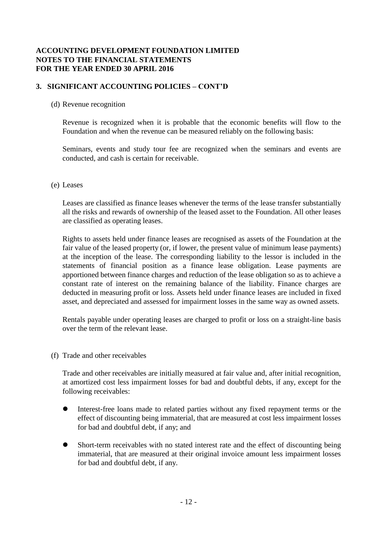# **3. SIGNIFICANT ACCOUNTING POLICIES – CONT'D**

#### (d) Revenue recognition

Revenue is recognized when it is probable that the economic benefits will flow to the Foundation and when the revenue can be measured reliably on the following basis:

Seminars, events and study tour fee are recognized when the seminars and events are conducted, and cash is certain for receivable.

#### (e) Leases

Leases are classified as finance leases whenever the terms of the lease transfer substantially all the risks and rewards of ownership of the leased asset to the Foundation. All other leases are classified as operating leases.

Rights to assets held under finance leases are recognised as assets of the Foundation at the fair value of the leased property (or, if lower, the present value of minimum lease payments) at the inception of the lease. The corresponding liability to the lessor is included in the statements of financial position as a finance lease obligation. Lease payments are apportioned between finance charges and reduction of the lease obligation so as to achieve a constant rate of interest on the remaining balance of the liability. Finance charges are deducted in measuring profit or loss. Assets held under finance leases are included in fixed asset, and depreciated and assessed for impairment losses in the same way as owned assets.

Rentals payable under operating leases are charged to profit or loss on a straight-line basis over the term of the relevant lease.

(f) Trade and other receivables

Trade and other receivables are initially measured at fair value and, after initial recognition, at amortized cost less impairment losses for bad and doubtful debts, if any, except for the following receivables:

- Interest-free loans made to related parties without any fixed repayment terms or the effect of discounting being immaterial, that are measured at cost less impairment losses for bad and doubtful debt, if any; and
- Short-term receivables with no stated interest rate and the effect of discounting being immaterial, that are measured at their original invoice amount less impairment losses for bad and doubtful debt, if any.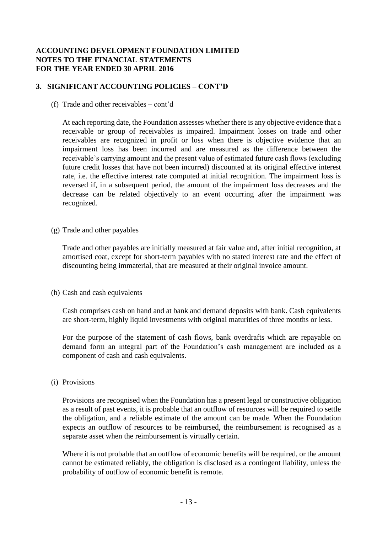# **3. SIGNIFICANT ACCOUNTING POLICIES – CONT'D**

(f) Trade and other receivables – cont'd

At each reporting date, the Foundation assesses whether there is any objective evidence that a receivable or group of receivables is impaired. Impairment losses on trade and other receivables are recognized in profit or loss when there is objective evidence that an impairment loss has been incurred and are measured as the difference between the receivable's carrying amount and the present value of estimated future cash flows (excluding future credit losses that have not been incurred) discounted at its original effective interest rate, i.e. the effective interest rate computed at initial recognition. The impairment loss is reversed if, in a subsequent period, the amount of the impairment loss decreases and the decrease can be related objectively to an event occurring after the impairment was recognized.

(g) Trade and other payables

Trade and other payables are initially measured at fair value and, after initial recognition, at amortised coat, except for short-term payables with no stated interest rate and the effect of discounting being immaterial, that are measured at their original invoice amount.

(h) Cash and cash equivalents

Cash comprises cash on hand and at bank and demand deposits with bank. Cash equivalents are short-term, highly liquid investments with original maturities of three months or less.

For the purpose of the statement of cash flows, bank overdrafts which are repayable on demand form an integral part of the Foundation's cash management are included as a component of cash and cash equivalents.

(i) Provisions

Provisions are recognised when the Foundation has a present legal or constructive obligation as a result of past events, it is probable that an outflow of resources will be required to settle the obligation, and a reliable estimate of the amount can be made. When the Foundation expects an outflow of resources to be reimbursed, the reimbursement is recognised as a separate asset when the reimbursement is virtually certain.

Where it is not probable that an outflow of economic benefits will be required, or the amount cannot be estimated reliably, the obligation is disclosed as a contingent liability, unless the probability of outflow of economic benefit is remote.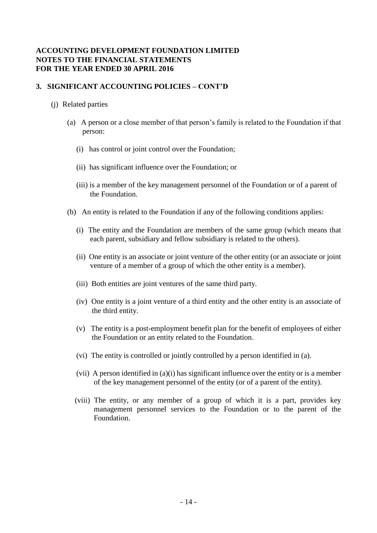# **3. SIGNIFICANT ACCOUNTING POLICIES – CONT'D**

#### (j) Related parties

- (a) A person or a close member of that person's family is related to the Foundation if that person:
	- (i) has control or joint control over the Foundation;
	- (ii) has significant influence over the Foundation; or
	- (iii) is a member of the key management personnel of the Foundation or of a parent of the Foundation.
- (b) An entity is related to the Foundation if any of the following conditions applies:
	- (i) The entity and the Foundation are members of the same group (which means that each parent, subsidiary and fellow subsidiary is related to the others).
	- (ii) One entity is an associate or joint venture of the other entity (or an associate or joint venture of a member of a group of which the other entity is a member).
	- (iii) Both entities are joint ventures of the same third party.
	- (iv) One entity is a joint venture of a third entity and the other entity is an associate of the third entity.
	- (v) The entity is a post-employment benefit plan for the benefit of employees of either the Foundation or an entity related to the Foundation.
	- (vi) The entity is controlled or jointly controlled by a person identified in (a).
	- (vii) A person identified in (a)(i) has significant influence over the entity or is a member of the key management personnel of the entity (or of a parent of the entity).
	- (viii) The entity, or any member of a group of which it is a part, provides key management personnel services to the Foundation or to the parent of the Foundation.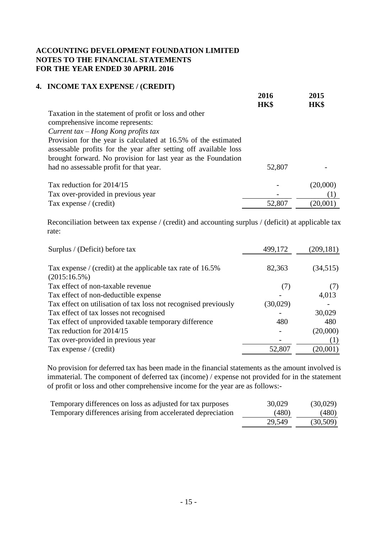# **4. INCOME TAX EXPENSE / (CREDIT)**

|                                                                                                                                                                                                     | 2016<br>HK\$ | 2015<br>HK\$ |
|-----------------------------------------------------------------------------------------------------------------------------------------------------------------------------------------------------|--------------|--------------|
| Taxation in the statement of profit or loss and other                                                                                                                                               |              |              |
| comprehensive income represents:                                                                                                                                                                    |              |              |
| Current tax $-$ Hong Kong profits tax                                                                                                                                                               |              |              |
| Provision for the year is calculated at 16.5% of the estimated<br>assessable profits for the year after setting off available loss<br>brought forward. No provision for last year as the Foundation |              |              |
| had no assessable profit for that year.                                                                                                                                                             | 52,807       |              |
| Tax reduction for 2014/15                                                                                                                                                                           |              | (20,000)     |
| Tax over-provided in previous year                                                                                                                                                                  |              |              |
| Tax expense / (credit)                                                                                                                                                                              | 52,807       | (20,001)     |

Reconciliation between tax expense / (credit) and accounting surplus / (deficit) at applicable tax rate:

| Surplus / (Deficit) before tax                                                | 499,172  | (209, 181) |
|-------------------------------------------------------------------------------|----------|------------|
|                                                                               |          |            |
| Tax expense / (credit) at the applicable tax rate of 16.5%<br>$(2015:16.5\%)$ | 82,363   | (34,515)   |
| Tax effect of non-taxable revenue                                             | (7)      |            |
| Tax effect of non-deductible expense                                          |          | 4,013      |
| Tax effect on utilisation of tax loss not recognised previously               | (30,029) |            |
| Tax effect of tax losses not recognised                                       |          | 30,029     |
| Tax effect of unprovided taxable temporary difference                         | 480      | 480        |
| Tax reduction for 2014/15                                                     |          | (20,000)   |
| Tax over-provided in previous year                                            |          |            |
| Tax expense / (credit)                                                        | 52,807   | (20,001)   |

No provision for deferred tax has been made in the financial statements as the amount involved is immaterial. The component of deferred tax (income) / expense not provided for in the statement of profit or loss and other comprehensive income for the year are as follows:-

| Temporary differences on loss as adjusted for tax purposes  | 30,029 | (30,029) |
|-------------------------------------------------------------|--------|----------|
| Temporary differences arising from accelerated depreciation | (480)  | (480)    |
|                                                             | 29,549 | (30,509) |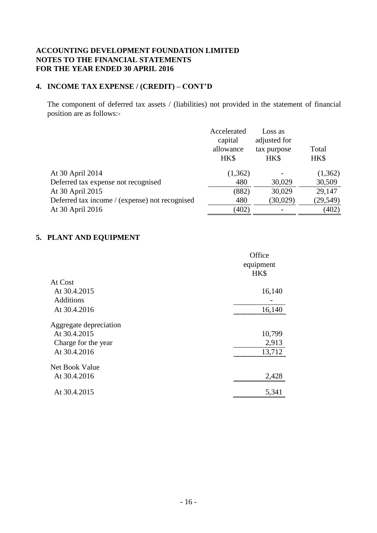# **4. INCOME TAX EXPENSE / (CREDIT) – CONT'D**

The component of deferred tax assets / (liabilities) not provided in the statement of financial position are as follows:-

|                                                | Accelerated<br>capital<br>allowance<br>HK\$ | Loss as<br>adjusted for<br>tax purpose<br>HK\$ | Total<br>HK\$ |
|------------------------------------------------|---------------------------------------------|------------------------------------------------|---------------|
| At 30 April 2014                               | (1,362)                                     |                                                | (1,362)       |
| Deferred tax expense not recognised            | 480                                         | 30,029                                         | 30,509        |
| At 30 April 2015                               | (882)                                       | 30,029                                         | 29,147        |
| Deferred tax income / (expense) not recognised | 480                                         | (30,029)                                       | (29, 549)     |
| At 30 April 2016                               | (402)                                       |                                                | (402)         |

# **5. PLANT AND EQUIPMENT**

|                        | Office<br>equipment<br>HK\$ |
|------------------------|-----------------------------|
| At Cost                |                             |
| At 30.4.2015           | 16,140                      |
| Additions              |                             |
| At 30.4.2016           | 16,140                      |
| Aggregate depreciation |                             |
| At 30.4.2015           | 10,799                      |
| Charge for the year    | 2,913                       |
| At 30.4.2016           | 13,712                      |
| Net Book Value         |                             |
| At 30.4.2016           | 2,428                       |
| At 30.4.2015           | 5,341                       |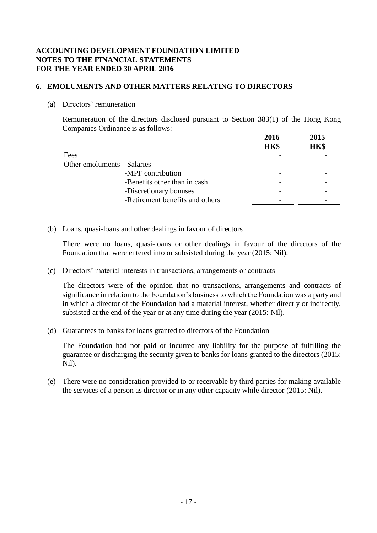# **6. EMOLUMENTS AND OTHER MATTERS RELATING TO DIRECTORS**

#### (a) Directors' remuneration

Remuneration of the directors disclosed pursuant to Section 383(1) of the Hong Kong Companies Ordinance is as follows: -

|                            |                                 | 2016<br>HK\$ | 2015<br>HK\$ |
|----------------------------|---------------------------------|--------------|--------------|
| Fees                       |                                 |              |              |
| Other emoluments -Salaries |                                 |              |              |
|                            | -MPF contribution               |              |              |
|                            | -Benefits other than in cash    |              |              |
|                            | -Discretionary bonuses          |              |              |
|                            | -Retirement benefits and others |              |              |
|                            |                                 |              |              |

(b) Loans, quasi-loans and other dealings in favour of directors

There were no loans, quasi-loans or other dealings in favour of the directors of the Foundation that were entered into or subsisted during the year (2015: Nil).

(c) Directors' material interests in transactions, arrangements or contracts

The directors were of the opinion that no transactions, arrangements and contracts of significance in relation to the Foundation's business to which the Foundation was a party and in which a director of the Foundation had a material interest, whether directly or indirectly, subsisted at the end of the year or at any time during the year (2015: Nil).

(d) Guarantees to banks for loans granted to directors of the Foundation

The Foundation had not paid or incurred any liability for the purpose of fulfilling the guarantee or discharging the security given to banks for loans granted to the directors (2015: Nil).

(e) There were no consideration provided to or receivable by third parties for making available the services of a person as director or in any other capacity while director (2015: Nil).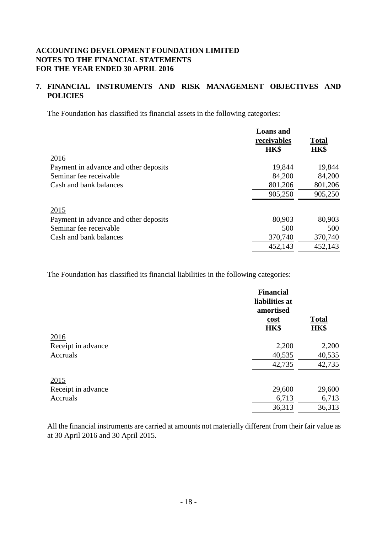# **7. FINANCIAL INSTRUMENTS AND RISK MANAGEMENT OBJECTIVES AND POLICIES**

The Foundation has classified its financial assets in the following categories:

|                                       | <b>Loans</b> and<br>receivables<br>HK\$ | <b>Total</b><br>HK\$ |
|---------------------------------------|-----------------------------------------|----------------------|
| 2016                                  |                                         |                      |
| Payment in advance and other deposits | 19,844                                  | 19,844               |
| Seminar fee receivable                | 84,200                                  | 84,200               |
| Cash and bank balances                | 801,206                                 | 801,206              |
|                                       | 905,250                                 | 905,250              |
| 2015                                  |                                         |                      |
| Payment in advance and other deposits | 80,903                                  | 80,903               |
| Seminar fee receivable                | 500                                     | 500                  |
| Cash and bank balances                | 370,740                                 | 370,740              |
|                                       | 452,143                                 | 452,143              |

The Foundation has classified its financial liabilities in the following categories:

|                    | <b>Financial</b><br>liabilities at<br>amortised<br><u>cost</u><br>HK\$ | <b>Total</b><br>HK\$ |
|--------------------|------------------------------------------------------------------------|----------------------|
| 2016               |                                                                        |                      |
| Receipt in advance | 2,200                                                                  | 2,200                |
| Accruals           | 40,535                                                                 | 40,535               |
|                    | 42,735                                                                 | 42,735               |
| <u>2015</u>        |                                                                        |                      |
| Receipt in advance | 29,600                                                                 | 29,600               |
| Accruals           | 6,713                                                                  | 6,713                |
|                    | 36,313                                                                 | 36,313               |

All the financial instruments are carried at amounts not materially different from their fair value as at 30 April 2016 and 30 April 2015.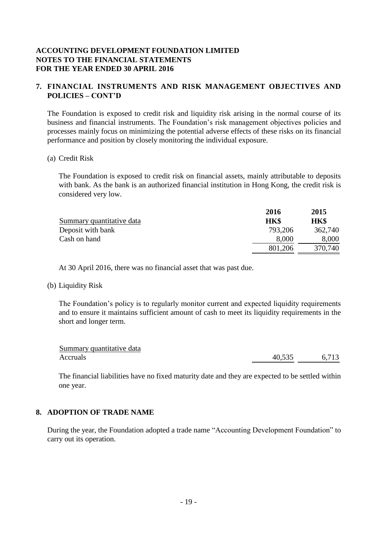# **7. FINANCIAL INSTRUMENTS AND RISK MANAGEMENT OBJECTIVES AND POLICIES – CONT'D**

The Foundation is exposed to credit risk and liquidity risk arising in the normal course of its business and financial instruments. The Foundation's risk management objectives policies and processes mainly focus on minimizing the potential adverse effects of these risks on its financial performance and position by closely monitoring the individual exposure.

#### (a) Credit Risk

The Foundation is exposed to credit risk on financial assets, mainly attributable to deposits with bank. As the bank is an authorized financial institution in Hong Kong, the credit risk is considered very low.

|                           | 2016        | 2015        |
|---------------------------|-------------|-------------|
| Summary quantitative data | <b>HK\$</b> | <b>HK\$</b> |
| Deposit with bank         | 793,206     | 362,740     |
| Cash on hand              | 8,000       | 8,000       |
|                           | 801,206     | 370,740     |

At 30 April 2016, there was no financial asset that was past due.

#### (b) Liquidity Risk

The Foundation's policy is to regularly monitor current and expected liquidity requirements and to ensure it maintains sufficient amount of cash to meet its liquidity requirements in the short and longer term.

| Summary quantitative data |        |       |
|---------------------------|--------|-------|
| Accruals                  | 40,535 | 6,713 |

The financial liabilities have no fixed maturity date and they are expected to be settled within one year.

#### **8. ADOPTION OF TRADE NAME**

During the year, the Foundation adopted a trade name "Accounting Development Foundation" to carry out its operation.